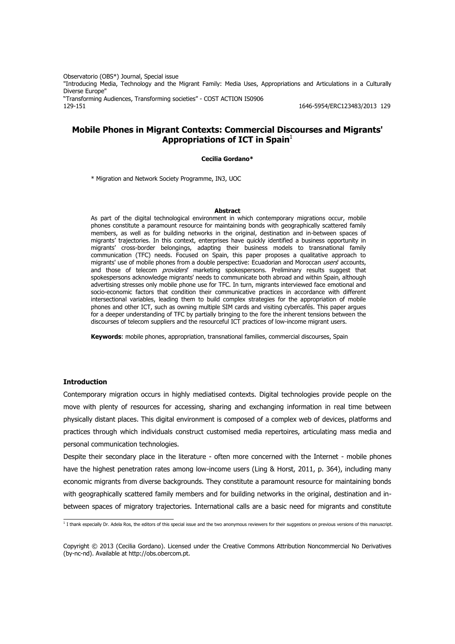Observatorio (OBS\*) Journal, Special issue "Introducing Media, Technology and the Migrant Family: Media Uses, Appropriations and Articulations in a Culturally Diverse Furone" "Transforming Audiences, Transforming societies" - COST ACTION IS0906 129-151 1646-5954/ERC123483/2013 129

# **Mobile Phones in Migrant Contexts: Commercial Discourses and Migrants' Appropriations of ICT in Spain**<sup>1</sup>

#### **Cecilia Gordano\***

\* Migration and Network Society Programme, IN3, UOC

#### **Abstract**

As part of the digital technological environment in which contemporary migrations occur, mobile phones constitute a paramount resource for maintaining bonds with geographically scattered family members, as well as for building networks in the original, destination and in-between spaces of migrants' trajectories. In this context, enterprises have quickly identified a business opportunity in migrants' cross-border belongings, adapting their business models to transnational family communication (TFC) needs. Focused on Spain, this paper proposes a qualitative approach to migrants' use of mobile phones from a double perspective: Ecuadorian and Moroccan users' accounts, and those of telecom *providers'* marketing spokespersons. Preliminary results suggest that spokespersons acknowledge migrants' needs to communicate both abroad and within Spain, although advertising stresses only mobile phone use for TFC. In turn, migrants interviewed face emotional and socio-economic factors that condition their communicative practices in accordance with different intersectional variables, leading them to build complex strategies for the appropriation of mobile phones and other ICT, such as owning multiple SIM cards and visiting cybercafés. This paper argues for a deeper understanding of TFC by partially bringing to the fore the inherent tensions between the discourses of telecom suppliers and the resourceful ICT practices of low-income migrant users.

**Keywords**: mobile phones, appropriation, transnational families, commercial discourses, Spain

#### **Introduction**

Contemporary migration occurs in highly mediatised contexts. Digital technologies provide people on the move with plenty of resources for accessing, sharing and exchanging information in real time between physically distant places. This digital environment is composed of a complex web of devices, platforms and practices through which individuals construct customised media repertoires, articulating mass media and personal communication technologies.

Despite their secondary place in the literature - often more concerned with the Internet - mobile phones have the highest penetration rates among low-income users (Ling & Horst, 2011, p. 364), including many economic migrants from diverse backgrounds. They constitute a paramount resource for maintaining bonds with geographically scattered family members and for building networks in the original, destination and inbetween spaces of migratory trajectories. International calls are a basic need for migrants and constitute

<sup>&</sup>lt;sup>1</sup> I thank especially Dr. Adela Ros, the editors of this special issue and the two anonymous reviewers for their suggestions on previous versions of this manuscript.

Copyright © 2013 (Cecilia Gordano). Licensed under the Creative Commons Attribution Noncommercial No Derivatives (by-nc-nd). Available at http://obs.obercom.pt.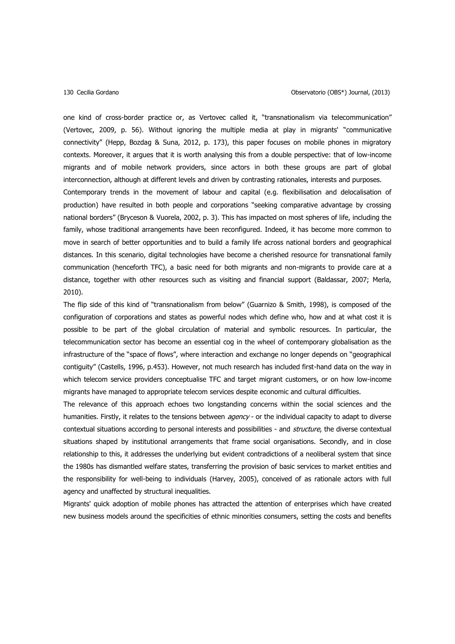one kind of cross-border practice or, as Vertovec called it, "transnationalism via telecommunication" (Vertovec, 2009, p. 56). Without ignoring the multiple media at play in migrants' "communicative connectivity" (Hepp, Bozdag & Suna, 2012, p. 173), this paper focuses on mobile phones in migratory contexts. Moreover, it argues that it is worth analysing this from a double perspective: that of low-income migrants and of mobile network providers, since actors in both these groups are part of global interconnection, although at different levels and driven by contrasting rationales, interests and purposes.

Contemporary trends in the movement of labour and capital (e.g. flexibilisation and delocalisation of production) have resulted in both people and corporations "seeking comparative advantage by crossing national borders" (Bryceson & Vuorela, 2002, p. 3). This has impacted on most spheres of life, including the family, whose traditional arrangements have been reconfigured. Indeed, it has become more common to move in search of better opportunities and to build a family life across national borders and geographical distances. In this scenario, digital technologies have become a cherished resource for transnational family communication (henceforth TFC), a basic need for both migrants and non-migrants to provide care at a distance, together with other resources such as visiting and financial support (Baldassar, 2007; Merla, 2010).

The flip side of this kind of "transnationalism from below" (Guarnizo & Smith, 1998), is composed of the configuration of corporations and states as powerful nodes which define who, how and at what cost it is possible to be part of the global circulation of material and symbolic resources. In particular, the telecommunication sector has become an essential cog in the wheel of contemporary globalisation as the infrastructure of the "space of flows", where interaction and exchange no longer depends on "geographical contiguity" (Castells, 1996, p.453). However, not much research has included first-hand data on the way in which telecom service providers conceptualise TFC and target migrant customers, or on how low-income migrants have managed to appropriate telecom services despite economic and cultural difficulties.

The relevance of this approach echoes two longstanding concerns within the social sciences and the humanities. Firstly, it relates to the tensions between *agency* - or the individual capacity to adapt to diverse contextual situations according to personal interests and possibilities - and *structure*, the diverse contextual situations shaped by institutional arrangements that frame social organisations. Secondly, and in close relationship to this, it addresses the underlying but evident contradictions of a neoliberal system that since the 1980s has dismantled welfare states, transferring the provision of basic services to market entities and the responsibility for well-being to individuals (Harvey, 2005), conceived of as rationale actors with full agency and unaffected by structural inequalities.

Migrants' quick adoption of mobile phones has attracted the attention of enterprises which have created new business models around the specificities of ethnic minorities consumers, setting the costs and benefits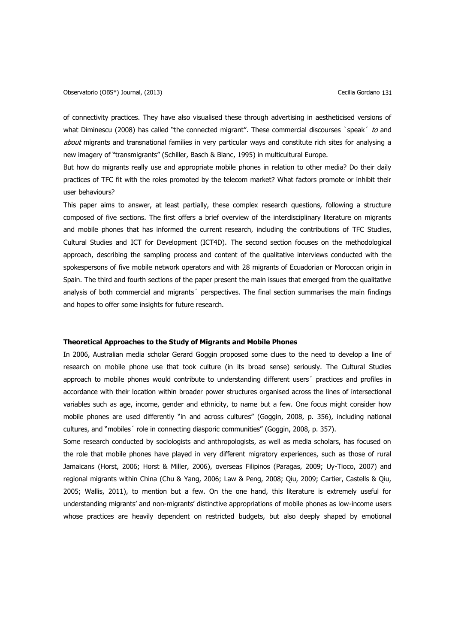of connectivity practices. They have also visualised these through advertising in aestheticised versions of what Diminescu (2008) has called "the connected migrant". These commercial discourses `speak´ to and about migrants and transnational families in very particular ways and constitute rich sites for analysing a new imagery of "transmigrants" (Schiller, Basch & Blanc, 1995) in multicultural Europe.

But how do migrants really use and appropriate mobile phones in relation to other media? Do their daily practices of TFC fit with the roles promoted by the telecom market? What factors promote or inhibit their user behaviours?

This paper aims to answer, at least partially, these complex research questions, following a structure composed of five sections. The first offers a brief overview of the interdisciplinary literature on migrants and mobile phones that has informed the current research, including the contributions of TFC Studies, Cultural Studies and ICT for Development (ICT4D). The second section focuses on the methodological approach, describing the sampling process and content of the qualitative interviews conducted with the spokespersons of five mobile network operators and with 28 migrants of Ecuadorian or Moroccan origin in Spain. The third and fourth sections of the paper present the main issues that emerged from the qualitative analysis of both commercial and migrants<sup>'</sup> perspectives. The final section summarises the main findings and hopes to offer some insights for future research.

### **Theoretical Approaches to the Study of Migrants and Mobile Phones**

In 2006, Australian media scholar Gerard Goggin proposed some clues to the need to develop a line of research on mobile phone use that took culture (in its broad sense) seriously. The Cultural Studies approach to mobile phones would contribute to understanding different users´ practices and profiles in accordance with their location within broader power structures organised across the lines of intersectional variables such as age, income, gender and ethnicity, to name but a few. One focus might consider how mobile phones are used differently "in and across cultures" (Goggin, 2008, p. 356), including national cultures, and "mobiles´ role in connecting diasporic communities" (Goggin, 2008, p. 357).

Some research conducted by sociologists and anthropologists, as well as media scholars, has focused on the role that mobile phones have played in very different migratory experiences, such as those of rural Jamaicans (Horst, 2006; Horst & Miller, 2006), overseas Filipinos (Paragas, 2009; Uy-Tioco, 2007) and regional migrants within China (Chu & Yang, 2006; Law & Peng, 2008; Qiu, 2009; Cartier, Castells & Qiu, 2005; Wallis, 2011), to mention but a few. On the one hand, this literature is extremely useful for understanding migrants' and non-migrants' distinctive appropriations of mobile phones as low-income users whose practices are heavily dependent on restricted budgets, but also deeply shaped by emotional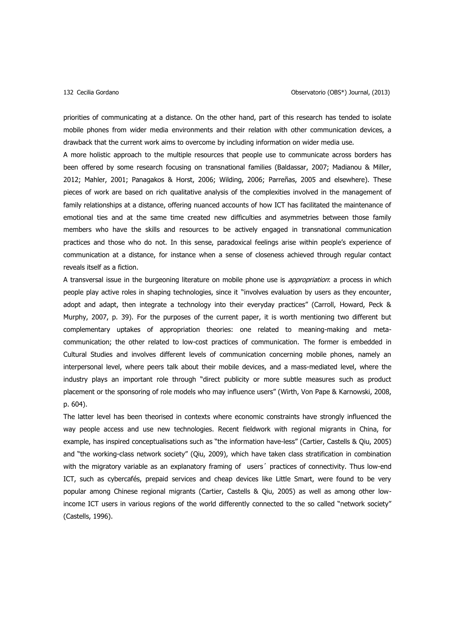priorities of communicating at a distance. On the other hand, part of this research has tended to isolate mobile phones from wider media environments and their relation with other communication devices, a drawback that the current work aims to overcome by including information on wider media use.

A more holistic approach to the multiple resources that people use to communicate across borders has been offered by some research focusing on transnational families (Baldassar, 2007; Madianou & Miller, 2012; Mahler, 2001; Panagakos & Horst, 2006; Wilding, 2006; Parreñas, 2005 and elsewhere). These pieces of work are based on rich qualitative analysis of the complexities involved in the management of family relationships at a distance, offering nuanced accounts of how ICT has facilitated the maintenance of emotional ties and at the same time created new difficulties and asymmetries between those family members who have the skills and resources to be actively engaged in transnational communication practices and those who do not. In this sense, paradoxical feelings arise within people's experience of communication at a distance, for instance when a sense of closeness achieved through regular contact reveals itself as a fiction.

A transversal issue in the burgeoning literature on mobile phone use is *appropriation*: a process in which people play active roles in shaping technologies, since it "involves evaluation by users as they encounter, adopt and adapt, then integrate a technology into their everyday practices" (Carroll, Howard, Peck & Murphy, 2007, p. 39). For the purposes of the current paper, it is worth mentioning two different but complementary uptakes of appropriation theories: one related to meaning-making and metacommunication; the other related to low-cost practices of communication. The former is embedded in Cultural Studies and involves different levels of communication concerning mobile phones, namely an interpersonal level, where peers talk about their mobile devices, and a mass-mediated level, where the industry plays an important role through "direct publicity or more subtle measures such as product placement or the sponsoring of role models who may influence users" (Wirth, Von Pape & Karnowski, 2008, p. 604).

The latter level has been theorised in contexts where economic constraints have strongly influenced the way people access and use new technologies. Recent fieldwork with regional migrants in China, for example, has inspired conceptualisations such as "the information have-less" (Cartier, Castells & Qiu, 2005) and "the working-class network society" (Qiu, 2009), which have taken class stratification in combination with the migratory variable as an explanatory framing of users´ practices of connectivity. Thus low-end ICT, such as cybercafés, prepaid services and cheap devices like Little Smart, were found to be very popular among Chinese regional migrants (Cartier, Castells & Qiu, 2005) as well as among other lowincome ICT users in various regions of the world differently connected to the so called "network society" (Castells, 1996).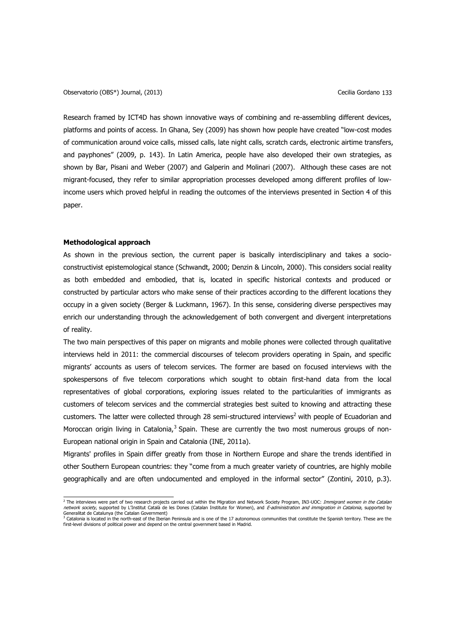Research framed by ICT4D has shown innovative ways of combining and re-assembling different devices, platforms and points of access. In Ghana, Sey (2009) has shown how people have created "low-cost modes of communication around voice calls, missed calls, late night calls, scratch cards, electronic airtime transfers, and payphones" (2009, p. 143). In Latin America, people have also developed their own strategies, as shown by Bar, Pisani and Weber (2007) and Galperin and Molinari (2007). Although these cases are not migrant-focused, they refer to similar appropriation processes developed among different profiles of lowincome users which proved helpful in reading the outcomes of the interviews presented in Section 4 of this paper.

#### **Methodological approach**

As shown in the previous section, the current paper is basically interdisciplinary and takes a socioconstructivist epistemological stance (Schwandt, 2000; Denzin & Lincoln, 2000). This considers social reality as both embedded and embodied, that is, located in specific historical contexts and produced or constructed by particular actors who make sense of their practices according to the different locations they occupy in a given society (Berger & Luckmann, 1967). In this sense, considering diverse perspectives may enrich our understanding through the acknowledgement of both convergent and divergent interpretations of reality.

The two main perspectives of this paper on migrants and mobile phones were collected through qualitative interviews held in 2011: the commercial discourses of telecom providers operating in Spain, and specific migrants' accounts as users of telecom services. The former are based on focused interviews with the spokespersons of five telecom corporations which sought to obtain first-hand data from the local representatives of global corporations, exploring issues related to the particularities of immigrants as customers of telecom services and the commercial strategies best suited to knowing and attracting these customers. The latter were collected through 28 semi-structured interviews<sup>2</sup> with people of Ecuadorian and Moroccan origin living in Catalonia,<sup>3</sup> Spain. These are currently the two most numerous groups of non-European national origin in Spain and Catalonia (INE, 2011a).

Migrants' profiles in Spain differ greatly from those in Northern Europe and share the trends identified in other Southern European countries: they "come from a much greater variety of countries, are highly mobile geographically and are often undocumented and employed in the informal sector" (Zontini, 2010, p.3).

<sup>&</sup>lt;sup>2</sup> The interviews were part of two research projects carried out within the Migration and Network Society Program, IN3-UOC: *Immigrant women in the Catalan* network society, supported by L'Institut Català de les Dones (Catalan Institute for Women), and E-administration and immigration in Catalonia, supported by

Generalitat de Catalunya (the Catalan Government)<br><sup>3</sup> Catalonia is located in the north-east of the Iberian Peninsula and is one of the 17 autonomous communities that constitute the Spanish territory. These are the<br>first-l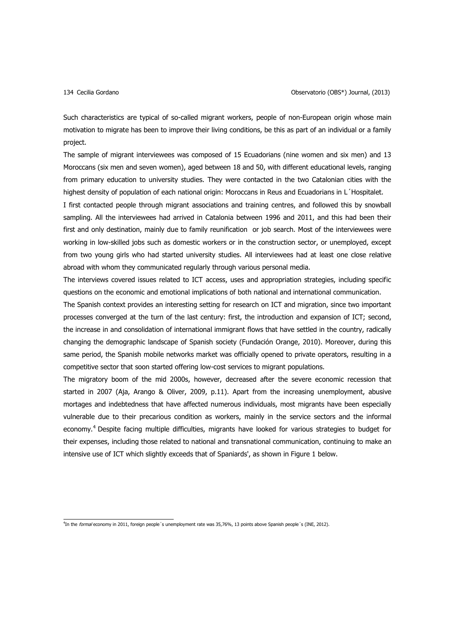Such characteristics are typical of so-called migrant workers, people of non-European origin whose main motivation to migrate has been to improve their living conditions, be this as part of an individual or a family project.

The sample of migrant interviewees was composed of 15 Ecuadorians (nine women and six men) and 13 Moroccans (six men and seven women), aged between 18 and 50, with different educational levels, ranging from primary education to university studies. They were contacted in the two Catalonian cities with the highest density of population of each national origin: Moroccans in Reus and Ecuadorians in L´Hospitalet.

I first contacted people through migrant associations and training centres, and followed this by snowball sampling. All the interviewees had arrived in Catalonia between 1996 and 2011, and this had been their first and only destination, mainly due to family reunification or job search. Most of the interviewees were working in low-skilled jobs such as domestic workers or in the construction sector, or unemployed, except from two young girls who had started university studies. All interviewees had at least one close relative abroad with whom they communicated regularly through various personal media.

The interviews covered issues related to ICT access, uses and appropriation strategies, including specific questions on the economic and emotional implications of both national and international communication.

The Spanish context provides an interesting setting for research on ICT and migration, since two important processes converged at the turn of the last century: first, the introduction and expansion of ICT; second, the increase in and consolidation of international immigrant flows that have settled in the country, radically changing the demographic landscape of Spanish society (Fundación Orange, 2010). Moreover, during this same period, the Spanish mobile networks market was officially opened to private operators, resulting in a competitive sector that soon started offering low-cost services to migrant populations.

The migratory boom of the mid 2000s, however, decreased after the severe economic recession that started in 2007 (Aja, Arango & Oliver, 2009, p.11). Apart from the increasing unemployment, abusive mortages and indebtedness that have affected numerous individuals, most migrants have been especially vulnerable due to their precarious condition as workers, mainly in the service sectors and the informal economy.<sup>4</sup> Despite facing multiple difficulties, migrants have looked for various strategies to budget for their expenses, including those related to national and transnational communication, continuing to make an intensive use of ICT which slightly exceeds that of Spaniards', as shown in Figure 1 below.

<sup>&</sup>lt;sup>4</sup>In the *formal* economy in 2011, foreign people's unemployment rate was 35,76%, 13 points above Spanish people's (INE, 2012).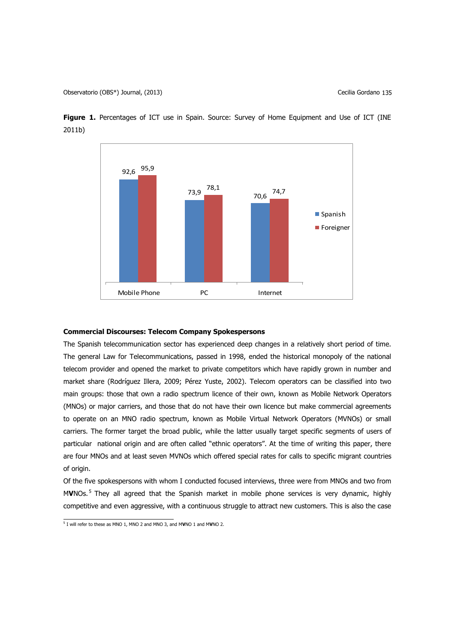

Figure 1. Percentages of ICT use in Spain. Source: Survey of Home Equipment and Use of ICT (INE 2011b)

### **Commercial Discourses: Telecom Company Spokespersons**

The Spanish telecommunication sector has experienced deep changes in a relatively short period of time. The general Law for Telecommunications, passed in 1998, ended the historical monopoly of the national telecom provider and opened the market to private competitors which have rapidly grown in number and market share (Rodríguez Illera, 2009; Pérez Yuste, 2002). Telecom operators can be classified into two main groups: those that own a radio spectrum licence of their own, known as Mobile Network Operators (MNOs) or major carriers, and those that do not have their own licence but make commercial agreements to operate on an MNO radio spectrum, known as Mobile Virtual Network Operators (MVNOs) or small carriers. The former target the broad public, while the latter usually target specific segments of users of particular national origin and are often called "ethnic operators". At the time of writing this paper, there are four MNOs and at least seven MVNOs which offered special rates for calls to specific migrant countries of origin.

Of the five spokespersons with whom I conducted focused interviews, three were from MNOs and two from MVNOs.<sup>5</sup> They all agreed that the Spanish market in mobile phone services is very dynamic, highly competitive and even aggressive, with a continuous struggle to attract new customers. This is also the case

 5 I will refer to these as MNO 1, MNO 2 and MNO 3, and M**V**NO 1 and M**V**NO 2.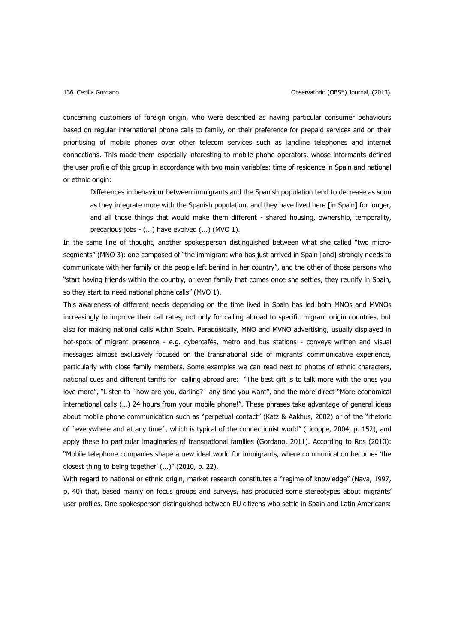concerning customers of foreign origin, who were described as having particular consumer behaviours based on regular international phone calls to family, on their preference for prepaid services and on their prioritising of mobile phones over other telecom services such as landline telephones and internet connections. This made them especially interesting to mobile phone operators, whose informants defined the user profile of this group in accordance with two main variables: time of residence in Spain and national or ethnic origin:

Differences in behaviour between immigrants and the Spanish population tend to decrease as soon as they integrate more with the Spanish population, and they have lived here [in Spain] for longer, and all those things that would make them different - shared housing, ownership, temporality, precarious jobs - (...) have evolved (...) (MVO 1).

In the same line of thought, another spokesperson distinguished between what she called "two microsegments" (MNO 3): one composed of "the immigrant who has just arrived in Spain [and] strongly needs to communicate with her family or the people left behind in her country", and the other of those persons who "start having friends within the country, or even family that comes once she settles, they reunify in Spain, so they start to need national phone calls" (MVO 1).

This awareness of different needs depending on the time lived in Spain has led both MNOs and MVNOs increasingly to improve their call rates, not only for calling abroad to specific migrant origin countries, but also for making national calls within Spain. Paradoxically, MNO and MVNO advertising, usually displayed in hot-spots of migrant presence - e.g. cybercafés, metro and bus stations - conveys written and visual messages almost exclusively focused on the transnational side of migrants' communicative experience, particularly with close family members. Some examples we can read next to photos of ethnic characters, national cues and different tariffs for calling abroad are: "The best gift is to talk more with the ones you love more", "Listen to `how are you, darling?' any time you want", and the more direct "More economical international calls (…) 24 hours from your mobile phone!". These phrases take advantage of general ideas about mobile phone communication such as "perpetual contact" (Katz & Aakhus, 2002) or of the "rhetoric of `everywhere and at any time´, which is typical of the connectionist world" (Licoppe, 2004, p. 152), and apply these to particular imaginaries of transnational families (Gordano, 2011). According to Ros (2010): "Mobile telephone companies shape a new ideal world for immigrants, where communication becomes 'the closest thing to being together' (...)" (2010, p. 22).

With regard to national or ethnic origin, market research constitutes a "regime of knowledge" (Nava, 1997, p. 40) that, based mainly on focus groups and surveys, has produced some stereotypes about migrants' user profiles. One spokesperson distinguished between EU citizens who settle in Spain and Latin Americans: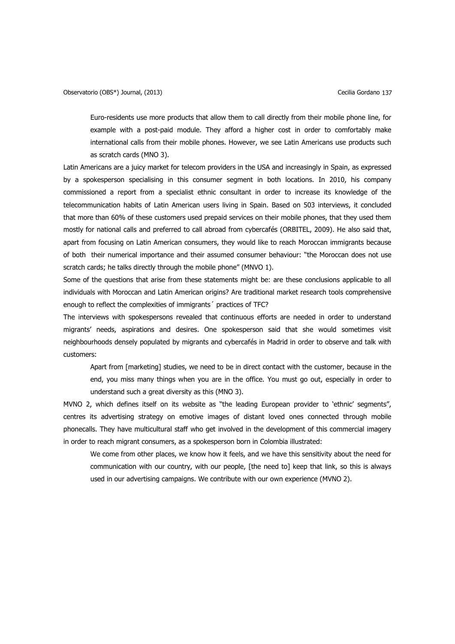Euro-residents use more products that allow them to call directly from their mobile phone line, for example with a post-paid module. They afford a higher cost in order to comfortably make international calls from their mobile phones. However, we see Latin Americans use products such as scratch cards (MNO 3).

Latin Americans are a juicy market for telecom providers in the USA and increasingly in Spain, as expressed by a spokesperson specialising in this consumer segment in both locations. In 2010, his company commissioned a report from a specialist ethnic consultant in order to increase its knowledge of the telecommunication habits of Latin American users living in Spain. Based on 503 interviews, it concluded that more than 60% of these customers used prepaid services on their mobile phones, that they used them mostly for national calls and preferred to call abroad from cybercafés (ORBITEL, 2009). He also said that, apart from focusing on Latin American consumers, they would like to reach Moroccan immigrants because of both their numerical importance and their assumed consumer behaviour: "the Moroccan does not use scratch cards; he talks directly through the mobile phone" (MNVO 1).

Some of the questions that arise from these statements might be: are these conclusions applicable to all individuals with Moroccan and Latin American origins? Are traditional market research tools comprehensive enough to reflect the complexities of immigrants´ practices of TFC?

The interviews with spokespersons revealed that continuous efforts are needed in order to understand migrants' needs, aspirations and desires. One spokesperson said that she would sometimes visit neighbourhoods densely populated by migrants and cybercafés in Madrid in order to observe and talk with customers:

Apart from [marketing] studies, we need to be in direct contact with the customer, because in the end, you miss many things when you are in the office. You must go out, especially in order to understand such a great diversity as this (MNO 3).

MVNO 2, which defines itself on its website as "the leading European provider to 'ethnic' segments", centres its advertising strategy on emotive images of distant loved ones connected through mobile phonecalls. They have multicultural staff who get involved in the development of this commercial imagery in order to reach migrant consumers, as a spokesperson born in Colombia illustrated:

We come from other places, we know how it feels, and we have this sensitivity about the need for communication with our country, with our people, [the need to] keep that link, so this is always used in our advertising campaigns. We contribute with our own experience (MVNO 2).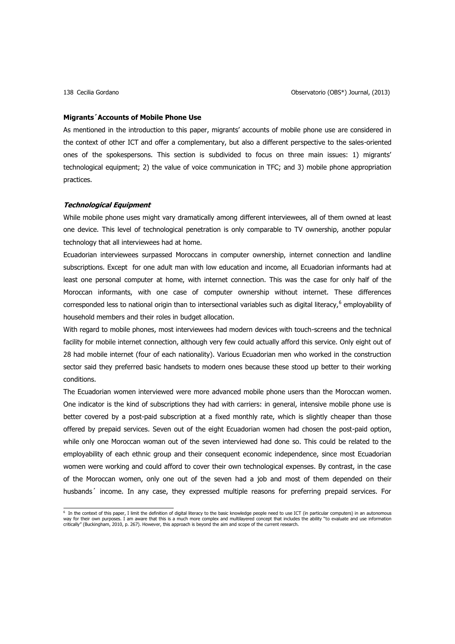#### **Migrants´Accounts of Mobile Phone Use**

As mentioned in the introduction to this paper, migrants' accounts of mobile phone use are considered in the context of other ICT and offer a complementary, but also a different perspective to the sales-oriented ones of the spokespersons. This section is subdivided to focus on three main issues: 1) migrants' technological equipment; 2) the value of voice communication in TFC; and 3) mobile phone appropriation practices.

#### **Technological Equipment**

While mobile phone uses might vary dramatically among different interviewees, all of them owned at least one device. This level of technological penetration is only comparable to TV ownership, another popular technology that all interviewees had at home.

Ecuadorian interviewees surpassed Moroccans in computer ownership, internet connection and landline subscriptions. Except for one adult man with low education and income, all Ecuadorian informants had at least one personal computer at home, with internet connection. This was the case for only half of the Moroccan informants, with one case of computer ownership without internet. These differences corresponded less to national origin than to intersectional variables such as digital literacy,<sup>6</sup> employability of household members and their roles in budget allocation.

With regard to mobile phones, most interviewees had modern devices with touch-screens and the technical facility for mobile internet connection, although very few could actually afford this service. Only eight out of 28 had mobile internet (four of each nationality). Various Ecuadorian men who worked in the construction sector said they preferred basic handsets to modern ones because these stood up better to their working conditions.

The Ecuadorian women interviewed were more advanced mobile phone users than the Moroccan women. One indicator is the kind of subscriptions they had with carriers: in general, intensive mobile phone use is better covered by a post-paid subscription at a fixed monthly rate, which is slightly cheaper than those offered by prepaid services. Seven out of the eight Ecuadorian women had chosen the post-paid option, while only one Moroccan woman out of the seven interviewed had done so. This could be related to the employability of each ethnic group and their consequent economic independence, since most Ecuadorian women were working and could afford to cover their own technological expenses. By contrast, in the case of the Moroccan women, only one out of the seven had a job and most of them depended on their husbands´ income. In any case, they expressed multiple reasons for preferring prepaid services. For

<sup>&</sup>lt;sub>6</sub><br>In the context of this paper, I limit the definition of digital literacy to the basic knowledge people need to use ICT (in particular computers) in an autonomous way for their own purposes. I am aware that this is a much more complex and multilayered concept that includes the ability "to evaluate and use information<br>critically" (Buckingham, 2010, p. 267). However, this approach is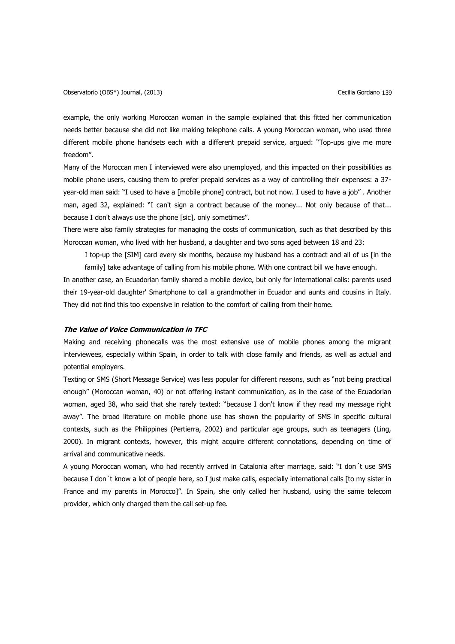example, the only working Moroccan woman in the sample explained that this fitted her communication needs better because she did not like making telephone calls. A young Moroccan woman, who used three different mobile phone handsets each with a different prepaid service, argued: "Top-ups give me more freedom".

Many of the Moroccan men I interviewed were also unemployed, and this impacted on their possibilities as mobile phone users, causing them to prefer prepaid services as a way of controlling their expenses: a 37 year-old man said: "I used to have a [mobile phone] contract, but not now. I used to have a job" . Another man, aged 32, explained: "I can't sign a contract because of the money... Not only because of that... because I don't always use the phone [sic], only sometimes".

There were also family strategies for managing the costs of communication, such as that described by this Moroccan woman, who lived with her husband, a daughter and two sons aged between 18 and 23:

I top-up the [SIM] card every six months, because my husband has a contract and all of us [in the family] take advantage of calling from his mobile phone. With one contract bill we have enough.

In another case, an Ecuadorian family shared a mobile device, but only for international calls: parents used their 19-year-old daughter' Smartphone to call a grandmother in Ecuador and aunts and cousins in Italy. They did not find this too expensive in relation to the comfort of calling from their home.

## **The Value of Voice Communication in TFC**

Making and receiving phonecalls was the most extensive use of mobile phones among the migrant interviewees, especially within Spain, in order to talk with close family and friends, as well as actual and potential employers.

Texting or SMS (Short Message Service) was less popular for different reasons, such as "not being practical enough" (Moroccan woman, 40) or not offering instant communication, as in the case of the Ecuadorian woman, aged 38, who said that she rarely texted: "because I don't know if they read my message right away". The broad literature on mobile phone use has shown the popularity of SMS in specific cultural contexts, such as the Philippines (Pertierra, 2002) and particular age groups, such as teenagers (Ling, 2000). In migrant contexts, however, this might acquire different connotations, depending on time of arrival and communicative needs.

A young Moroccan woman, who had recently arrived in Catalonia after marriage, said: "I don´t use SMS because I don´t know a lot of people here, so I just make calls, especially international calls [to my sister in France and my parents in Morocco]". In Spain, she only called her husband, using the same telecom provider, which only charged them the call set-up fee.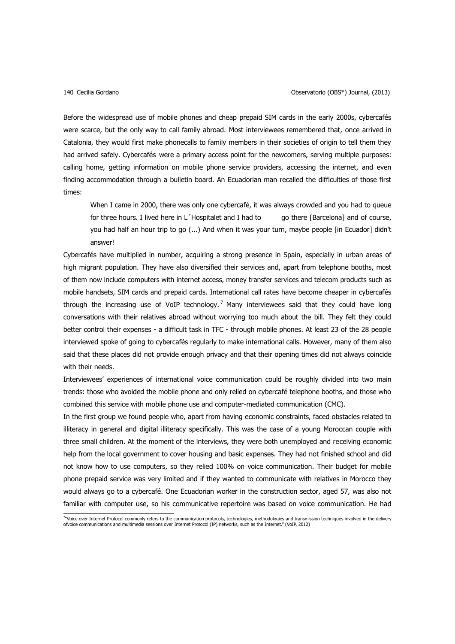Before the widespread use of mobile phones and cheap prepaid SIM cards in the early 2000s, cybercafés were scarce, but the only way to call family abroad. Most interviewees remembered that, once arrived in Catalonia, they would first make phonecalls to family members in their societies of origin to tell them they had arrived safely. Cybercafés were a primary access point for the newcomers, serving multiple purposes: calling home, getting information on mobile phone service providers, accessing the internet, and even finding accommodation through a bulletin board. An Ecuadorian man recalled the difficulties of those first times:

When I came in 2000, there was only one cybercafé, it was always crowded and you had to queue for three hours. I lived here in L Hospitalet and I had to go there [Barcelona] and of course, you had half an hour trip to go (...) And when it was your turn, maybe people [in Ecuador] didn't answer!

Cybercafés have multiplied in number, acquiring a strong presence in Spain, especially in urban areas of high migrant population. They have also diversified their services and, apart from telephone booths, most of them now include computers with internet access, money transfer services and telecom products such as mobile handsets, SIM cards and prepaid cards. International call rates have become cheaper in cybercafés through the increasing use of VoIP technology.<sup>7</sup> Many interviewees said that they could have long conversations with their relatives abroad without worrying too much about the bill. They felt they could better control their expenses - a difficult task in TFC - through mobile phones. At least 23 of the 28 people interviewed spoke of going to cybercafés regularly to make international calls. However, many of them also said that these places did not provide enough privacy and that their opening times did not always coincide with their needs.

Interviewees' experiences of international voice communication could be roughly divided into two main trends: those who avoided the mobile phone and only relied on cybercafé telephone booths, and those who combined this service with mobile phone use and computer-mediated communication (CMC).

In the first group we found people who, apart from having economic constraints, faced obstacles related to illiteracy in general and digital illiteracy specifically. This was the case of a young Moroccan couple with three small children. At the moment of the interviews, they were both unemployed and receiving economic help from the local government to cover housing and basic expenses. They had not finished school and did not know how to use computers, so they relied 100% on voice communication. Their budget for mobile phone prepaid service was very limited and if they wanted to communicate with relatives in Morocco they would always go to a cybercafé. One Ecuadorian worker in the construction sector, aged 57, was also not familiar with computer use, so his communicative repertoire was based on voice communication. He had

<sup>&</sup>lt;sup>74</sup>Voice over Internet Protocol commonly refers to the communication protocols, technologies, methodologies and transmission techniques involved in the delivery<br>ofvoice communications and multimedia sessions over Internet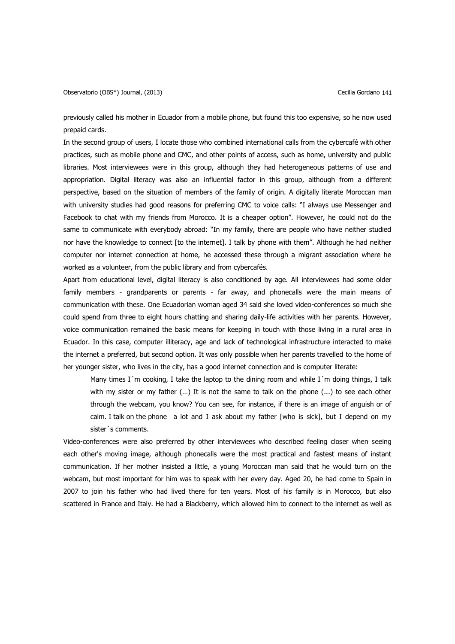previously called his mother in Ecuador from a mobile phone, but found this too expensive, so he now used prepaid cards.

In the second group of users, I locate those who combined international calls from the cybercafé with other practices, such as mobile phone and CMC, and other points of access, such as home, university and public libraries. Most interviewees were in this group, although they had heterogeneous patterns of use and appropriation. Digital literacy was also an influential factor in this group, although from a different perspective, based on the situation of members of the family of origin. A digitally literate Moroccan man with university studies had good reasons for preferring CMC to voice calls: "I always use Messenger and Facebook to chat with my friends from Morocco. It is a cheaper option". However, he could not do the same to communicate with everybody abroad: "In my family, there are people who have neither studied nor have the knowledge to connect [to the internet]. I talk by phone with them". Although he had neither computer nor internet connection at home, he accessed these through a migrant association where he worked as a volunteer, from the public library and from cybercafés.

Apart from educational level, digital literacy is also conditioned by age. All interviewees had some older family members - grandparents or parents - far away, and phonecalls were the main means of communication with these. One Ecuadorian woman aged 34 said she loved video-conferences so much she could spend from three to eight hours chatting and sharing daily-life activities with her parents. However, voice communication remained the basic means for keeping in touch with those living in a rural area in Ecuador. In this case, computer illiteracy, age and lack of technological infrastructure interacted to make the internet a preferred, but second option. It was only possible when her parents travelled to the home of her younger sister, who lives in the city, has a good internet connection and is computer literate:

Many times I´m cooking, I take the laptop to the dining room and while I´m doing things, I talk with my sister or my father (…) It is not the same to talk on the phone (...) to see each other through the webcam, you know? You can see, for instance, if there is an image of anguish or of calm. I talk on the phone a lot and I ask about my father [who is sick], but I depend on my sister´s comments.

Video-conferences were also preferred by other interviewees who described feeling closer when seeing each other's moving image, although phonecalls were the most practical and fastest means of instant communication. If her mother insisted a little, a young Moroccan man said that he would turn on the webcam, but most important for him was to speak with her every day. Aged 20, he had come to Spain in 2007 to join his father who had lived there for ten years. Most of his family is in Morocco, but also scattered in France and Italy. He had a Blackberry, which allowed him to connect to the internet as well as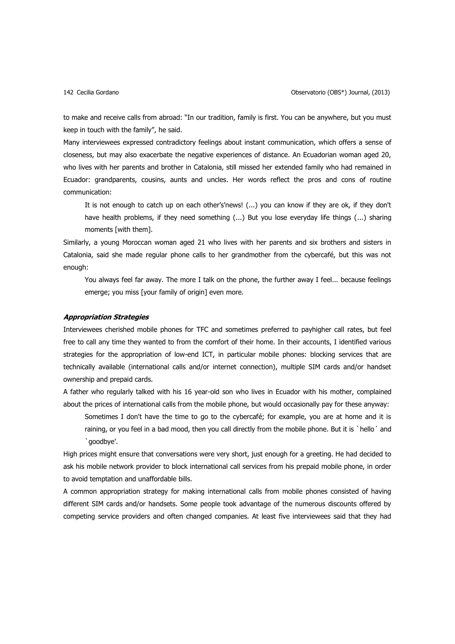to make and receive calls from abroad: "In our tradition, family is first. You can be anywhere, but you must keep in touch with the family", he said.

Many interviewees expressed contradictory feelings about instant communication, which offers a sense of closeness, but may also exacerbate the negative experiences of distance. An Ecuadorian woman aged 20, who lives with her parents and brother in Catalonia, still missed her extended family who had remained in Ecuador: grandparents, cousins, aunts and uncles. Her words reflect the pros and cons of routine communication:

It is not enough to catch up on each other's'news! (...) you can know if they are ok, if they don't have health problems, if they need something (...) But you lose everyday life things (...) sharing moments [with them].

Similarly, a young Moroccan woman aged 21 who lives with her parents and six brothers and sisters in Catalonia, said she made regular phone calls to her grandmother from the cybercafé, but this was not enough:

You always feel far away. The more I talk on the phone, the further away I feel... because feelings emerge; you miss [your family of origin] even more.

#### **Appropriation Strategies**

Interviewees cherished mobile phones for TFC and sometimes preferred to payhigher call rates, but feel free to call any time they wanted to from the comfort of their home. In their accounts, I identified various strategies for the appropriation of low-end ICT, in particular mobile phones: blocking services that are technically available (international calls and/or internet connection), multiple SIM cards and/or handset ownership and prepaid cards.

A father who regularly talked with his 16 year-old son who lives in Ecuador with his mother, complained about the prices of international calls from the mobile phone, but would occasionally pay for these anyway:

Sometimes I don't have the time to go to the cybercafé; for example, you are at home and it is raining, or you feel in a bad mood, then you call directly from the mobile phone. But it is `hello´ and `goodbye'.

High prices might ensure that conversations were very short, just enough for a greeting. He had decided to ask his mobile network provider to block international call services from his prepaid mobile phone, in order to avoid temptation and unaffordable bills.

A common appropriation strategy for making international calls from mobile phones consisted of having different SIM cards and/or handsets. Some people took advantage of the numerous discounts offered by competing service providers and often changed companies. At least five interviewees said that they had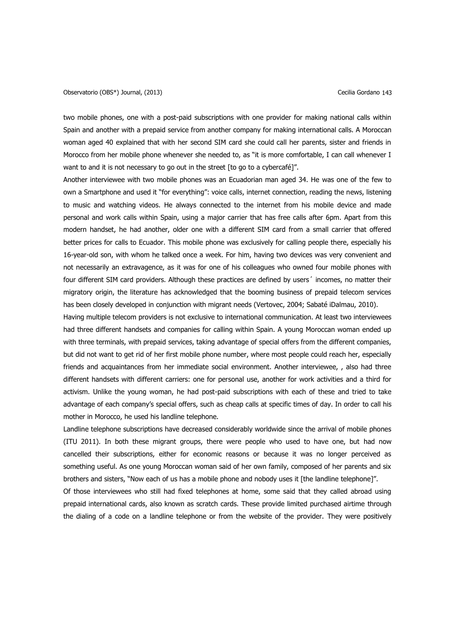two mobile phones, one with a post-paid subscriptions with one provider for making national calls within Spain and another with a prepaid service from another company for making international calls. A Moroccan woman aged 40 explained that with her second SIM card she could call her parents, sister and friends in Morocco from her mobile phone whenever she needed to, as "it is more comfortable, I can call whenever I want to and it is not necessary to go out in the street [to go to a cybercafé]".

Another interviewee with two mobile phones was an Ecuadorian man aged 34. He was one of the few to own a Smartphone and used it "for everything": voice calls, internet connection, reading the news, listening to music and watching videos. He always connected to the internet from his mobile device and made personal and work calls within Spain, using a major carrier that has free calls after 6pm. Apart from this modern handset, he had another, older one with a different SIM card from a small carrier that offered better prices for calls to Ecuador. This mobile phone was exclusively for calling people there, especially his 16-year-old son, with whom he talked once a week. For him, having two devices was very convenient and not necessarily an extravagence, as it was for one of his colleagues who owned four mobile phones with four different SIM card providers. Although these practices are defined by users´ incomes, no matter their migratory origin, the literature has acknowledged that the booming business of prepaid telecom services has been closely developed in conjunction with migrant needs (Vertovec, 2004; Sabaté iDalmau, 2010).

Having multiple telecom providers is not exclusive to international communication. At least two interviewees had three different handsets and companies for calling within Spain. A young Moroccan woman ended up with three terminals, with prepaid services, taking advantage of special offers from the different companies, but did not want to get rid of her first mobile phone number, where most people could reach her, especially friends and acquaintances from her immediate social environment. Another interviewee, , also had three different handsets with different carriers: one for personal use, another for work activities and a third for activism. Unlike the young woman, he had post-paid subscriptions with each of these and tried to take advantage of each company's special offers, such as cheap calls at specific times of day. In order to call his mother in Morocco, he used his landline telephone.

Landline telephone subscriptions have decreased considerably worldwide since the arrival of mobile phones (ITU 2011). In both these migrant groups, there were people who used to have one, but had now cancelled their subscriptions, either for economic reasons or because it was no longer perceived as something useful. As one young Moroccan woman said of her own family, composed of her parents and six brothers and sisters, "Now each of us has a mobile phone and nobody uses it [the landline telephone]".

Of those interviewees who still had fixed telephones at home, some said that they called abroad using prepaid international cards, also known as scratch cards. These provide limited purchased airtime through the dialing of a code on a landline telephone or from the website of the provider. They were positively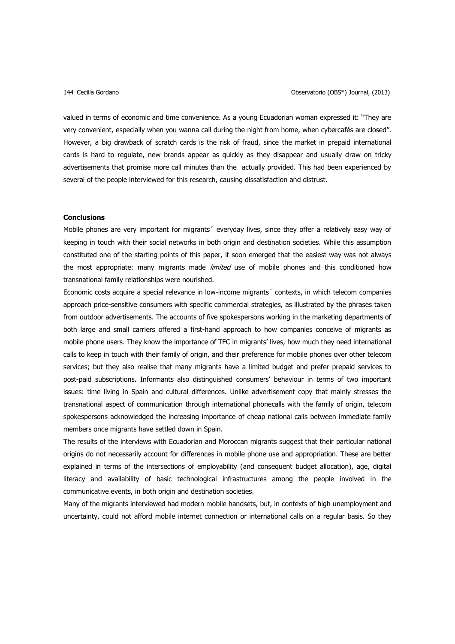valued in terms of economic and time convenience. As a young Ecuadorian woman expressed it: "They are very convenient, especially when you wanna call during the night from home, when cybercafés are closed". However, a big drawback of scratch cards is the risk of fraud, since the market in prepaid international cards is hard to regulate, new brands appear as quickly as they disappear and usually draw on tricky advertisements that promise more call minutes than the actually provided. This had been experienced by several of the people interviewed for this research, causing dissatisfaction and distrust.

### **Conclusions**

Mobile phones are very important for migrants´ everyday lives, since they offer a relatively easy way of keeping in touch with their social networks in both origin and destination societies. While this assumption constituted one of the starting points of this paper, it soon emerged that the easiest way was not always the most appropriate: many migrants made *limited* use of mobile phones and this conditioned how transnational family relationships were nourished.

Economic costs acquire a special relevance in low-income migrants´ contexts, in which telecom companies approach price-sensitive consumers with specific commercial strategies, as illustrated by the phrases taken from outdoor advertisements. The accounts of five spokespersons working in the marketing departments of both large and small carriers offered a first-hand approach to how companies conceive of migrants as mobile phone users. They know the importance of TFC in migrants' lives, how much they need international calls to keep in touch with their family of origin, and their preference for mobile phones over other telecom services; but they also realise that many migrants have a limited budget and prefer prepaid services to post-paid subscriptions. Informants also distinguished consumers' behaviour in terms of two important issues: time living in Spain and cultural differences. Unlike advertisement copy that mainly stresses the transnational aspect of communication through international phonecalls with the family of origin, telecom spokespersons acknowledged the increasing importance of cheap national calls between immediate family members once migrants have settled down in Spain.

The results of the interviews with Ecuadorian and Moroccan migrants suggest that their particular national origins do not necessarily account for differences in mobile phone use and appropriation. These are better explained in terms of the intersections of employability (and consequent budget allocation), age, digital literacy and availability of basic technological infrastructures among the people involved in the communicative events, in both origin and destination societies.

Many of the migrants interviewed had modern mobile handsets, but, in contexts of high unemployment and uncertainty, could not afford mobile internet connection or international calls on a regular basis. So they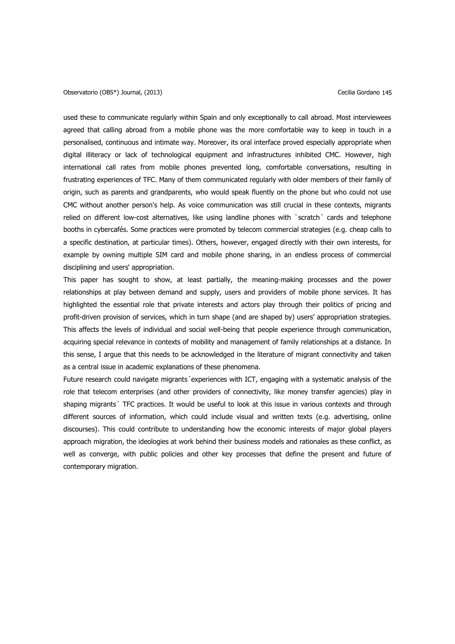used these to communicate regularly within Spain and only exceptionally to call abroad. Most interviewees agreed that calling abroad from a mobile phone was the more comfortable way to keep in touch in a personalised, continuous and intimate way. Moreover, its oral interface proved especially appropriate when digital illiteracy or lack of technological equipment and infrastructures inhibited CMC. However, high international call rates from mobile phones prevented long, comfortable conversations, resulting in frustrating experiences of TFC. Many of them communicated regularly with older members of their family of origin, such as parents and grandparents, who would speak fluently on the phone but who could not use CMC without another person's help. As voice communication was still crucial in these contexts, migrants relied on different low-cost alternatives, like using landline phones with `scratch´ cards and telephone booths in cybercafés. Some practices were promoted by telecom commercial strategies (e.g. cheap calls to a specific destination, at particular times). Others, however, engaged directly with their own interests, for example by owning multiple SIM card and mobile phone sharing, in an endless process of commercial disciplining and users' appropriation.

This paper has sought to show, at least partially, the meaning-making processes and the power relationships at play between demand and supply, users and providers of mobile phone services. It has highlighted the essential role that private interests and actors play through their politics of pricing and profit-driven provision of services, which in turn shape (and are shaped by) users' appropriation strategies. This affects the levels of individual and social well-being that people experience through communication, acquiring special relevance in contexts of mobility and management of family relationships at a distance. In this sense, I argue that this needs to be acknowledged in the literature of migrant connectivity and taken as a central issue in academic explanations of these phenomena.

Future research could navigate migrants' experiences with ICT, engaging with a systematic analysis of the role that telecom enterprises (and other providers of connectivity, like money transfer agencies) play in shaping migrants´ TFC practices. It would be useful to look at this issue in various contexts and through different sources of information, which could include visual and written texts (e.g. advertising, online discourses). This could contribute to understanding how the economic interests of major global players approach migration, the ideologies at work behind their business models and rationales as these conflict, as well as converge, with public policies and other key processes that define the present and future of contemporary migration.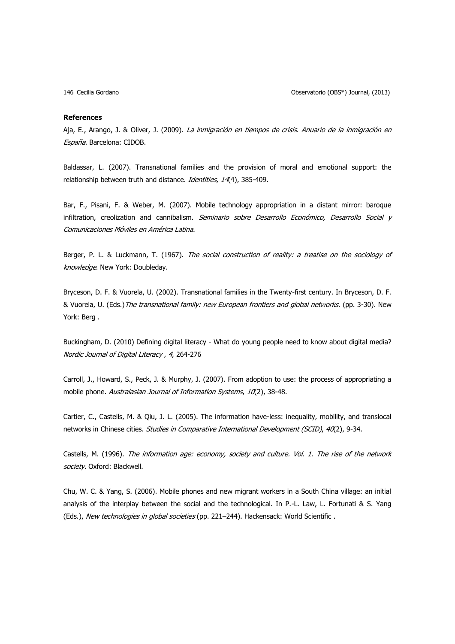146 Cecilia Gordano Observatorio (OBS\*) Journal, (2013)

#### **References**

Aja, E., Arango, J. & Oliver, J. (2009). La inmigración en tiempos de crisis. Anuario de la inmigración en España. Barcelona: CIDOB.

Baldassar, L. (2007). Transnational families and the provision of moral and emotional support: the relationship between truth and distance. Identities, 14(4), 385-409.

Bar, F., Pisani, F. & Weber, M. (2007). Mobile technology appropriation in a distant mirror: baroque infiltration, creolization and cannibalism. Seminario sobre Desarrollo Económico, Desarrollo Social y Comunicaciones Móviles en América Latina.

Berger, P. L. & Luckmann, T. (1967). The social construction of reality: a treatise on the sociology of knowledge. New York: Doubleday.

Bryceson, D. F. & Vuorela, U. (2002). Transnational families in the Twenty-first century. In Bryceson, D. F. & Vuorela, U. (Eds.)The transnational family: new European frontiers and global networks. (pp. 3-30). New York: Berg .

Buckingham, D. (2010) Defining digital literacy - What do young people need to know about digital media? Nordic Journal of Digital Literacy , 4, 264-276

Carroll, J., Howard, S., Peck, J. & Murphy, J. (2007). From adoption to use: the process of appropriating a mobile phone. Australasian Journal of Information Systems, 10(2), 38-48.

Cartier, C., Castells, M. & Qiu, J. L. (2005). The information have-less: inequality, mobility, and translocal networks in Chinese cities. Studies in Comparative International Development (SCID), 40(2), 9-34.

Castells, M. (1996). The information age: economy, society and culture. Vol. 1. The rise of the network society. Oxford: Blackwell.

Chu, W. C. & Yang, S. (2006). Mobile phones and new migrant workers in a South China village: an initial analysis of the interplay between the social and the technological. In P.-L. Law, L. Fortunati & S. Yang (Eds.), New technologies in global societies (pp. 221-244). Hackensack: World Scientific.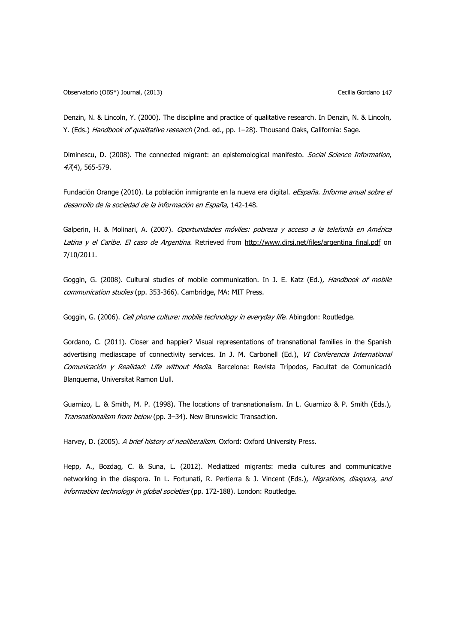Denzin, N. & Lincoln, Y. (2000). The discipline and practice of qualitative research. In Denzin, N. & Lincoln, Y. (Eds.) Handbook of qualitative research (2nd. ed., pp. 1–28). Thousand Oaks, California: Sage.

Diminescu, D. (2008). The connected migrant: an epistemological manifesto. Social Science Information, 47(4), 565-579.

Fundación Orange (2010). La población inmigrante en la nueva era digital. eEspaña. Informe anual sobre el desarrollo de la sociedad de la información en España, 142-148.

Galperin, H. & Molinari, A. (2007). Oportunidades móviles: pobreza y acceso a la telefonía en América Latina y el Caribe. El caso de Argentina. Retrieved from http://www.dirsi.net/files/argentina final.pdf on 7/10/2011.

Goggin, G. (2008). Cultural studies of mobile communication. In J. E. Katz (Ed.), Handbook of mobile communication studies (pp. 353-366). Cambridge, MA: MIT Press.

Goggin, G. (2006). Cell phone culture: mobile technology in everyday life. Abingdon: Routledge.

Gordano, C. (2011). Closer and happier? Visual representations of transnational families in the Spanish advertising mediascape of connectivity services. In J. M. Carbonell (Ed.), VI Conferencia International Comunicación y Realidad: Life without Media. Barcelona: Revista Trípodos, Facultat de Comunicació Blanquerna, Universitat Ramon Llull.

Guarnizo, L. & Smith, M. P. (1998). The locations of transnationalism. In L. Guarnizo & P. Smith (Eds.), Transnationalism from below (pp. 3–34). New Brunswick: Transaction.

Harvey, D. (2005). A brief history of neoliberalism. Oxford: Oxford University Press.

Hepp, A., Bozdag, C. & Suna, L. (2012). Mediatized migrants: media cultures and communicative networking in the diaspora. In L. Fortunati, R. Pertierra & J. Vincent (Eds.), Migrations, diaspora, and information technology in global societies (pp. 172-188). London: Routledge.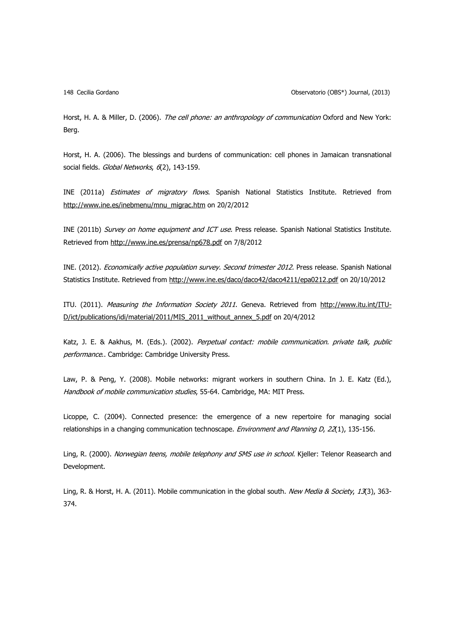148 Cecilia Gordano Observatorio (OBS\*) Journal, (2013)

Horst, H. A. & Miller, D. (2006). The cell phone: an anthropology of communication Oxford and New York: Berg.

Horst, H. A. (2006). The blessings and burdens of communication: cell phones in Jamaican transnational social fields. Global Networks, 6(2), 143-159.

INE (2011a) Estimates of migratory flows. Spanish National Statistics Institute. Retrieved from [http://www.ine.es/inebmenu/mnu\\_migrac.htm](http://www.ine.es/inebmenu/mnu_migrac.htm) on 20/2/2012

INE (2011b) Survey on home equipment and ICT use. Press release. Spanish National Statistics Institute. Retrieved from<http://www.ine.es/prensa/np678.pdf> on 7/8/2012

INE. (2012). Economically active population survey. Second trimester 2012. Press release. Spanish National Statistics Institute. Retrieved from<http://www.ine.es/daco/daco42/daco4211/epa0212.pdf> on 20/10/2012

ITU. (2011). Measuring the Information Society 2011. Geneva. Retrieved from [http://www.itu.int/ITU-](http://www.itu.int/ITU-D/ict/publications/idi/material/2011/MIS_2011_without_annex_5.pdf)[D/ict/publications/idi/material/2011/MIS\\_2011\\_without\\_annex\\_5.pdf](http://www.itu.int/ITU-D/ict/publications/idi/material/2011/MIS_2011_without_annex_5.pdf) on 20/4/2012

Katz, J. E. & Aakhus, M. (Eds.). (2002). Perpetual contact: mobile communication. private talk, public performance.. Cambridge: Cambridge University Press.

Law, P. & Peng, Y. (2008). Mobile networks: migrant workers in southern China. In J. E. Katz (Ed.), Handbook of mobile communication studies, 55-64. Cambridge, MA: MIT Press.

Licoppe, C. (2004). Connected presence: the emergence of a new repertoire for managing social relationships in a changing communication technoscape. Environment and Planning D, 22(1), 135-156.

Ling, R. (2000). Norwegian teens, mobile telephony and SMS use in school. Kjeller: Telenor Reasearch and Development.

Ling, R. & Horst, H. A. (2011). Mobile communication in the global south. New Media & Society, 13(3), 363-374.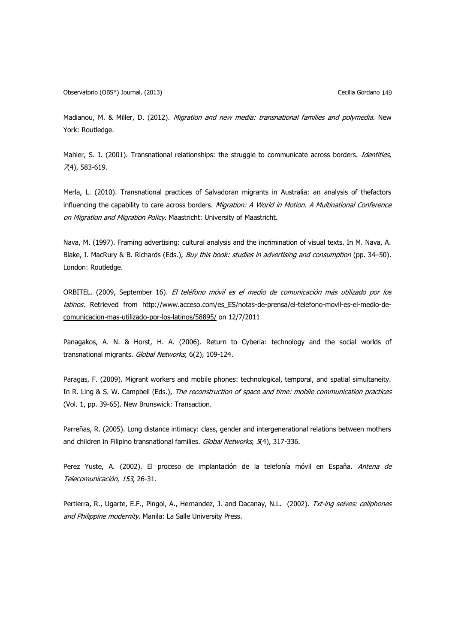Madianou, M. & Miller, D. (2012). Migration and new media: transnational families and polymedia. New York: Routledge.

Mahler, S. J. (2001). Transnational relationships: the struggle to communicate across borders. Identities,  $(74)$ , 583-619.

Merla, L. (2010). Transnational practices of Salvadoran migrants in Australia: an analysis of thefactors influencing the capability to care across borders. Migration: A World in Motion. A Multinational Conference on Migration and Migration Policy. Maastricht: University of Maastricht.

Nava, M. (1997). Framing advertising: cultural analysis and the incrimination of visual texts. In M. Nava, A. Blake, I. MacRury & B. Richards (Eds.), Buy this book: studies in advertising and consumption (pp. 34–50). London: Routledge.

ORBITEL. (2009, September 16). El teléfono móvil es el medio de comunicación más utilizado por los latinos. Retrieved from [http://www.acceso.com/es\\_ES/notas-de-prensa/el-telefono-movil-es-el-medio-de](http://www.acceso.com/es_ES/notas-de-prensa/el-telefono-movil-es-el-medio-de-comunicacion-mas-utilizado-por-los-latinos/58895/)[comunicacion-mas-utilizado-por-los-latinos/58895/](http://www.acceso.com/es_ES/notas-de-prensa/el-telefono-movil-es-el-medio-de-comunicacion-mas-utilizado-por-los-latinos/58895/) on 12/7/2011

Panagakos, A. N. & Horst, H. A. (2006). Return to Cyberia: technology and the social worlds of transnational migrants. Global Networks, 6(2), 109-124.

Paragas, F. (2009). Migrant workers and mobile phones: technological, temporal, and spatial simultaneity. In R. Ling & S. W. Campbell (Eds.), The reconstruction of space and time: mobile communication practices (Vol. 1, pp. 39-65). New Brunswick: Transaction.

Parreñas, R. (2005). Long distance intimacy: class, gender and intergenerational relations between mothers and children in Filipino transnational families. Global Networks, 5(4), 317-336.

Perez Yuste, A. (2002). El proceso de implantación de la telefonía móvil en España. Antena de Telecomunicación, 153, 26-31.

Pertierra, R., Ugarte, E.F., Pingol, A., Hernandez, J. and Dacanay, N.L. (2002). Txt-ing selves: cellphones and Philippine modernity. Manila: La Salle University Press.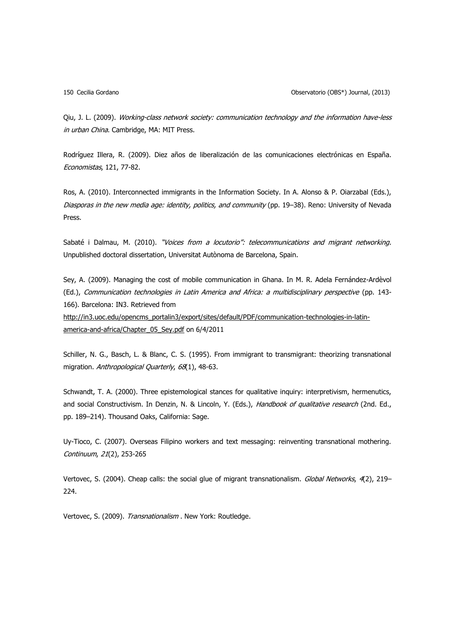150 Cecilia Gordano Observatorio (OBS\*) Journal, (2013)

Qiu, J. L. (2009). Working-class network society: communication technology and the information have-less in urban China. Cambridge, MA: MIT Press.

Rodríguez Illera, R. (2009). Diez años de liberalización de las comunicaciones electrónicas en España. Economistas, 121, 77-82.

Ros, A. (2010). Interconnected immigrants in the Information Society. In A. Alonso & P. Oiarzabal (Eds.), Diasporas in the new media age: identity, politics, and community (pp. 19-38). Reno: University of Nevada Press.

Sabaté i Dalmau, M. (2010). "Voices from a locutorio": telecommunications and migrant networking. Unpublished doctoral dissertation, Universitat Autònoma de Barcelona, Spain.

Sey, A. (2009). Managing the cost of mobile communication in Ghana. In M. R. Adela Fernández-Ardèvol (Ed.), Communication technologies in Latin America and Africa: a multidisciplinary perspective (pp. 143-166). Barcelona: IN3. Retrieved from

[http://in3.uoc.edu/opencms\\_portalin3/export/sites/default/PDF/communication-technologies-in-latin](http://in3.uoc.edu/opencms_portalin3/export/sites/default/PDF/communication-technologies-in-latin-america-and-africa/Chapter_05_Sey.pdf)[america-and-africa/Chapter\\_05\\_Sey.pdf](http://in3.uoc.edu/opencms_portalin3/export/sites/default/PDF/communication-technologies-in-latin-america-and-africa/Chapter_05_Sey.pdf) on 6/4/2011

Schiller, N. G., Basch, L. & Blanc, C. S. (1995). From immigrant to transmigrant: theorizing transnational migration. Anthropological Quarterly, 68(1), 48-63.

Schwandt, T. A. (2000). Three epistemological stances for qualitative inquiry: interpretivism, hermenutics, and social Constructivism. In Denzin, N. & Lincoln, Y. (Eds.), Handbook of qualitative research (2nd. Ed., pp. 189–214). Thousand Oaks, California: Sage.

Uy-Tioco, C. (2007). Overseas Filipino workers and text messaging: reinventing transnational mothering. Continuum, 21(2), 253-265

Vertovec, S. (2004). Cheap calls: the social glue of migrant transnationalism. Global Networks, 4(2), 219– 224.

Vertovec, S. (2009). Transnationalism. New York: Routledge.